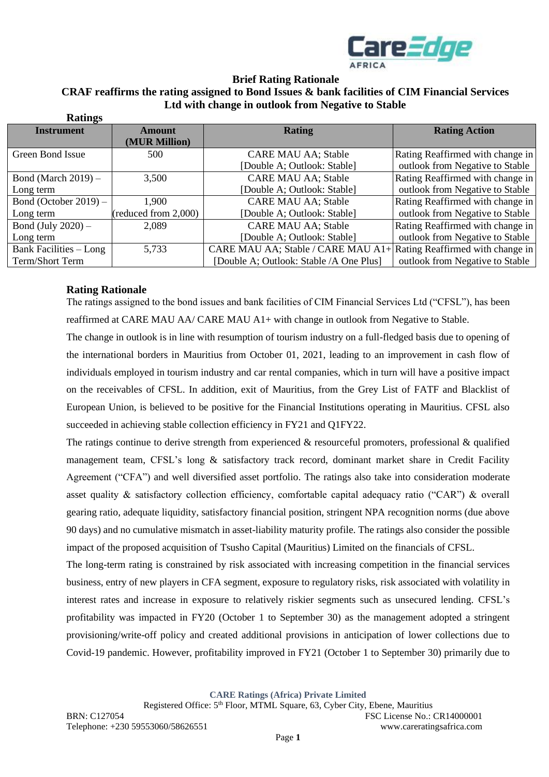

# **Brief Rating Rationale CRAF reaffirms the rating assigned to Bond Issues & bank facilities of CIM Financial Services Ltd with change in outlook from Negative to Stable**

| <b>Ratings</b>                |                      |                                                                     |                                  |
|-------------------------------|----------------------|---------------------------------------------------------------------|----------------------------------|
| <b>Instrument</b>             | Amount               | <b>Rating</b>                                                       | <b>Rating Action</b>             |
|                               | (MUR Million)        |                                                                     |                                  |
| Green Bond Issue              | 500                  | <b>CARE MAU AA; Stable</b>                                          | Rating Reaffirmed with change in |
|                               |                      | [Double A; Outlook: Stable]                                         | outlook from Negative to Stable  |
| Bond (March $2019$ ) –        | 3,500                | <b>CARE MAU AA; Stable</b>                                          | Rating Reaffirmed with change in |
| Long term                     |                      | [Double A; Outlook: Stable]                                         | outlook from Negative to Stable  |
| Bond (October $2019$ ) –      | 1,900                | <b>CARE MAU AA; Stable</b>                                          | Rating Reaffirmed with change in |
| Long term                     | (reduced from 2,000) | [Double A; Outlook: Stable]                                         | outlook from Negative to Stable  |
| Bond (July $2020$ ) –         | 2,089                | <b>CARE MAU AA; Stable</b>                                          | Rating Reaffirmed with change in |
| Long term                     |                      | [Double A; Outlook: Stable]                                         | outlook from Negative to Stable  |
| <b>Bank Facilities – Long</b> | 5,733                | CARE MAU AA; Stable / CARE MAU A1+ Rating Reaffirmed with change in |                                  |
| Term/Short Term               |                      | [Double A; Outlook: Stable / A One Plus]                            | outlook from Negative to Stable  |

## **Rating Rationale**

The ratings assigned to the bond issues and bank facilities of CIM Financial Services Ltd ("CFSL"), has been reaffirmed at CARE MAU AA/ CARE MAU A1+ with change in outlook from Negative to Stable.

The change in outlook is in line with resumption of tourism industry on a full-fledged basis due to opening of the international borders in Mauritius from October 01, 2021, leading to an improvement in cash flow of individuals employed in tourism industry and car rental companies, which in turn will have a positive impact on the receivables of CFSL. In addition, exit of Mauritius, from the Grey List of FATF and Blacklist of European Union, is believed to be positive for the Financial Institutions operating in Mauritius. CFSL also succeeded in achieving stable collection efficiency in FY21 and Q1FY22.

The ratings continue to derive strength from experienced  $\&$  resourceful promoters, professional  $\&$  qualified management team, CFSL's long & satisfactory track record, dominant market share in Credit Facility Agreement ("CFA") and well diversified asset portfolio. The ratings also take into consideration moderate asset quality & satisfactory collection efficiency, comfortable capital adequacy ratio ("CAR") & overall gearing ratio, adequate liquidity, satisfactory financial position, stringent NPA recognition norms (due above 90 days) and no cumulative mismatch in asset-liability maturity profile. The ratings also consider the possible impact of the proposed acquisition of Tsusho Capital (Mauritius) Limited on the financials of CFSL.

The long-term rating is constrained by risk associated with increasing competition in the financial services business, entry of new players in CFA segment, exposure to regulatory risks, risk associated with volatility in interest rates and increase in exposure to relatively riskier segments such as unsecured lending. CFSL's profitability was impacted in FY20 (October 1 to September 30) as the management adopted a stringent provisioning/write-off policy and created additional provisions in anticipation of lower collections due to Covid-19 pandemic. However, profitability improved in FY21 (October 1 to September 30) primarily due to

**CARE Ratings (Africa) Private Limited**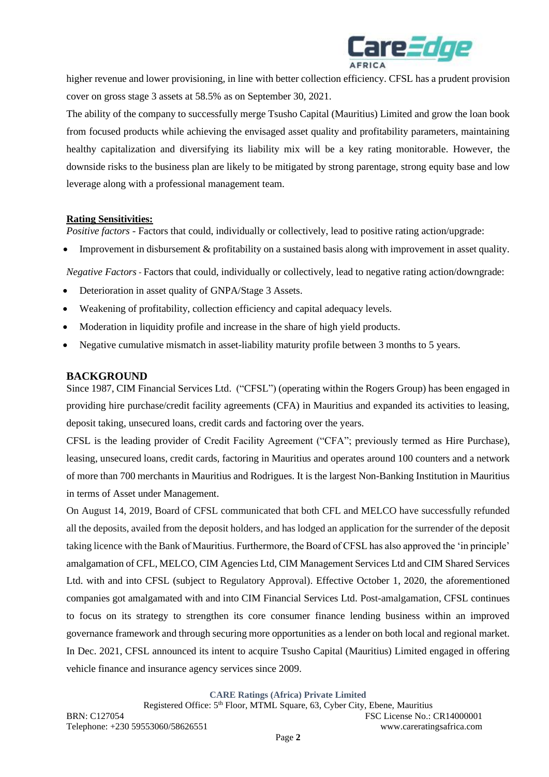

higher revenue and lower provisioning, in line with better collection efficiency. CFSL has a prudent provision cover on gross stage 3 assets at 58.5% as on September 30, 2021.

The ability of the company to successfully merge Tsusho Capital (Mauritius) Limited and grow the loan book from focused products while achieving the envisaged asset quality and profitability parameters, maintaining healthy capitalization and diversifying its liability mix will be a key rating monitorable. However, the downside risks to the business plan are likely to be mitigated by strong parentage, strong equity base and low leverage along with a professional management team.

## **Rating Sensitivities:**

*Positive factors* - Factors that could, individually or collectively, lead to positive rating action/upgrade:

• Improvement in disbursement & profitability on a sustained basis along with improvement in asset quality.

*Negative Factors -* Factors that could, individually or collectively, lead to negative rating action/downgrade:

- Deterioration in asset quality of GNPA/Stage 3 Assets.
- Weakening of profitability, collection efficiency and capital adequacy levels.
- Moderation in liquidity profile and increase in the share of high yield products.
- Negative cumulative mismatch in asset-liability maturity profile between 3 months to 5 years.

### **BACKGROUND**

Since 1987, CIM Financial Services Ltd. ("CFSL") (operating within the Rogers Group) has been engaged in providing hire purchase/credit facility agreements (CFA) in Mauritius and expanded its activities to leasing, deposit taking, unsecured loans, credit cards and factoring over the years.

CFSL is the leading provider of Credit Facility Agreement ("CFA"; previously termed as Hire Purchase), leasing, unsecured loans, credit cards, factoring in Mauritius and operates around 100 counters and a network of more than 700 merchants in Mauritius and Rodrigues. It is the largest Non-Banking Institution in Mauritius in terms of Asset under Management.

On August 14, 2019, Board of CFSL communicated that both CFL and MELCO have successfully refunded all the deposits, availed from the deposit holders, and has lodged an application for the surrender of the deposit taking licence with the Bank of Mauritius. Furthermore, the Board of CFSL has also approved the 'in principle' amalgamation of CFL, MELCO, CIM Agencies Ltd, CIM Management Services Ltd and CIM Shared Services Ltd. with and into CFSL (subject to Regulatory Approval). Effective October 1, 2020, the aforementioned companies got amalgamated with and into CIM Financial Services Ltd. Post-amalgamation, CFSL continues to focus on its strategy to strengthen its core consumer finance lending business within an improved governance framework and through securing more opportunities as a lender on both local and regional market. In Dec. 2021, CFSL announced its intent to acquire Tsusho Capital (Mauritius) Limited engaged in offering vehicle finance and insurance agency services since 2009.

**CARE Ratings (Africa) Private Limited**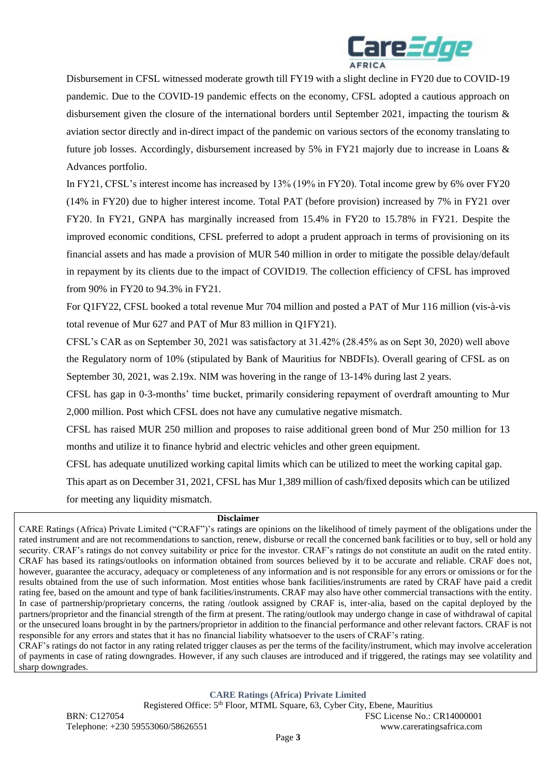

Disbursement in CFSL witnessed moderate growth till FY19 with a slight decline in FY20 due to COVID-19 pandemic. Due to the COVID-19 pandemic effects on the economy, CFSL adopted a cautious approach on disbursement given the closure of the international borders until September 2021, impacting the tourism & aviation sector directly and in-direct impact of the pandemic on various sectors of the economy translating to future job losses. Accordingly, disbursement increased by 5% in FY21 majorly due to increase in Loans & Advances portfolio.

In FY21, CFSL's interest income has increased by 13% (19% in FY20). Total income grew by 6% over FY20 (14% in FY20) due to higher interest income. Total PAT (before provision) increased by 7% in FY21 over FY20. In FY21, GNPA has marginally increased from 15.4% in FY20 to 15.78% in FY21. Despite the improved economic conditions, CFSL preferred to adopt a prudent approach in terms of provisioning on its financial assets and has made a provision of MUR 540 million in order to mitigate the possible delay/default in repayment by its clients due to the impact of COVID19. The collection efficiency of CFSL has improved from 90% in FY20 to 94.3% in FY21.

For Q1FY22, CFSL booked a total revenue Mur 704 million and posted a PAT of Mur 116 million (vis-à-vis total revenue of Mur 627 and PAT of Mur 83 million in Q1FY21).

CFSL's CAR as on September 30, 2021 was satisfactory at 31.42% (28.45% as on Sept 30, 2020) well above the Regulatory norm of 10% (stipulated by Bank of Mauritius for NBDFIs). Overall gearing of CFSL as on September 30, 2021, was 2.19x. NIM was hovering in the range of 13-14% during last 2 years.

CFSL has gap in 0-3-months' time bucket, primarily considering repayment of overdraft amounting to Mur 2,000 million. Post which CFSL does not have any cumulative negative mismatch.

CFSL has raised MUR 250 million and proposes to raise additional green bond of Mur 250 million for 13 months and utilize it to finance hybrid and electric vehicles and other green equipment.

CFSL has adequate unutilized working capital limits which can be utilized to meet the working capital gap.

This apart as on December 31, 2021, CFSL has Mur 1,389 million of cash/fixed deposits which can be utilized for meeting any liquidity mismatch.

#### **Disclaimer**

CARE Ratings (Africa) Private Limited ("CRAF")'s ratings are opinions on the likelihood of timely payment of the obligations under the rated instrument and are not recommendations to sanction, renew, disburse or recall the concerned bank facilities or to buy, sell or hold any security. CRAF's ratings do not convey suitability or price for the investor. CRAF's ratings do not constitute an audit on the rated entity. CRAF has based its ratings/outlooks on information obtained from sources believed by it to be accurate and reliable. CRAF does not, however, guarantee the accuracy, adequacy or completeness of any information and is not responsible for any errors or omissions or for the results obtained from the use of such information. Most entities whose bank facilities/instruments are rated by CRAF have paid a credit rating fee, based on the amount and type of bank facilities/instruments. CRAF may also have other commercial transactions with the entity. In case of partnership/proprietary concerns, the rating /outlook assigned by CRAF is, inter-alia, based on the capital deployed by the partners/proprietor and the financial strength of the firm at present. The rating/outlook may undergo change in case of withdrawal of capital or the unsecured loans brought in by the partners/proprietor in addition to the financial performance and other relevant factors. CRAF is not responsible for any errors and states that it has no financial liability whatsoever to the users of CRAF's rating.

CRAF's ratings do not factor in any rating related trigger clauses as per the terms of the facility/instrument, which may involve acceleration of payments in case of rating downgrades. However, if any such clauses are introduced and if triggered, the ratings may see volatility and sharp downgrades.

**CARE Ratings (Africa) Private Limited**